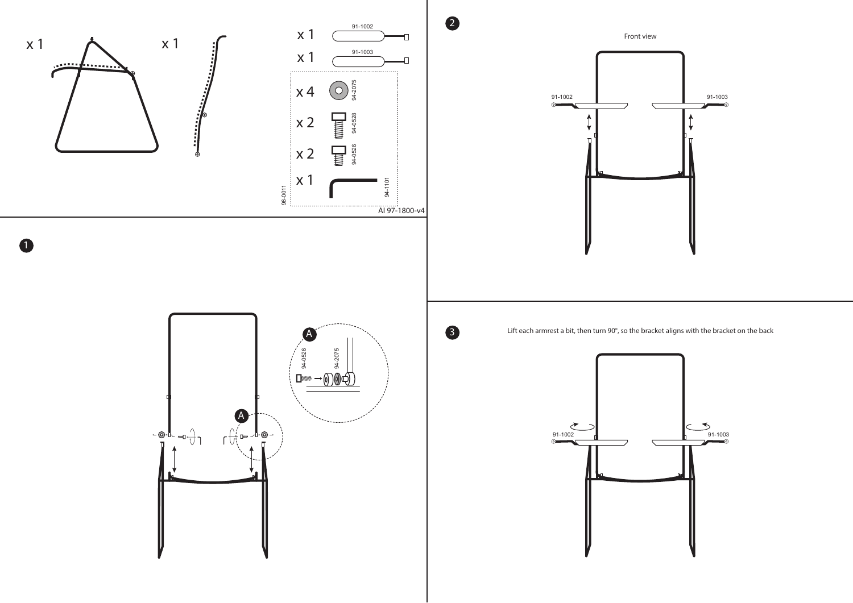